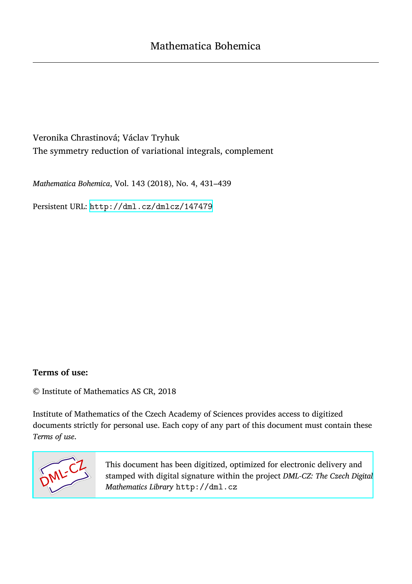Veronika Chrastinová; Václav Tryhuk The symmetry reduction of variational integrals, complement

*Mathematica Bohemica*, Vol. 143 (2018), No. 4, 431–439

Persistent URL: <http://dml.cz/dmlcz/147479>

## **Terms of use:**

© Institute of Mathematics AS CR, 2018

Institute of Mathematics of the Czech Academy of Sciences provides access to digitized documents strictly for personal use. Each copy of any part of this document must contain these *Terms of use*.



[This document has been digitized, optimized for electronic delivery and](http://dml.cz) stamped with digital signature within the project *DML-CZ: The Czech Digital Mathematics Library* http://dml.cz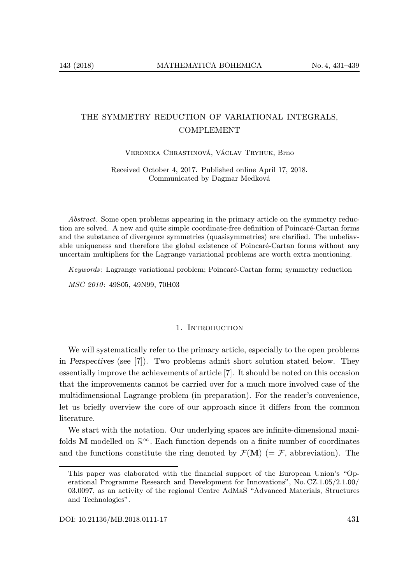# THE SYMMETRY REDUCTION OF VARIATIONAL INTEGRALS, COMPLEMENT

Veronika Chrastinová, Václav Tryhuk, Brno

Received October 4, 2017. Published online April 17, 2018. Communicated by Dagmar Medková

Abstract. Some open problems appearing in the primary article on the symmetry reduction are solved. A new and quite simple coordinate-free definition of Poincaré-Cartan forms and the substance of divergence symmetries (quasisymmetries) are clarified. The unbeliavable uniqueness and therefore the global existence of Poincaré-Cartan forms without any uncertain multipliers for the Lagrange variational problems are worth extra mentioning.

Keywords: Lagrange variational problem; Poincaré-Cartan form; symmetry reduction

MSC 2010: 49S05, 49N99, 70H03

#### 1. Introduction

We will systematically refer to the primary article, especially to the open problems in Perspectives (see [7]). Two problems admit short solution stated below. They essentially improve the achievements of article [7]. It should be noted on this occasion that the improvements cannot be carried over for a much more involved case of the multidimensional Lagrange problem (in preparation). For the reader's convenience, let us briefly overview the core of our approach since it differs from the common literature.

We start with the notation. Our underlying spaces are infinite-dimensional manifolds M modelled on  $\mathbb{R}^{\infty}$ . Each function depends on a finite number of coordinates and the functions constitute the ring denoted by  $\mathcal{F}(\mathbf{M})$  (=  $\mathcal{F}$ , abbreviation). The

This paper was elaborated with the financial support of the European Union's "Operational Programme Research and Development for Innovations", No. CZ.1.05/2.1.00/ 03.0097, as an activity of the regional Centre AdMaS "Advanced Materials, Structures and Technologies".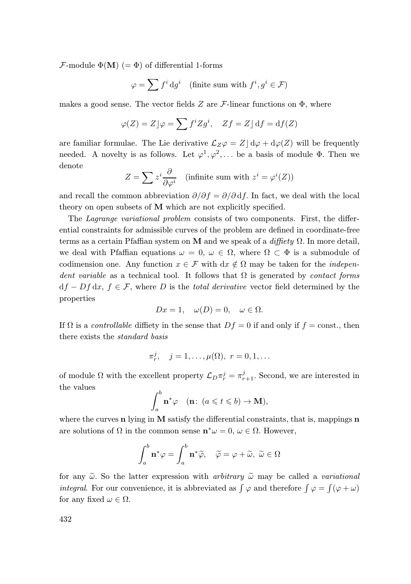$\mathcal{F}\text{-module }\Phi(\mathbf{M})$  (=  $\Phi$ ) of differential 1-forms

$$
\varphi = \sum f^i \, \mathrm{d}g^i \quad \text{(finite sum with } f^i, g^i \in \mathcal{F})
$$

makes a good sense. The vector fields  $Z$  are  $\mathcal F$ -linear functions on  $\Phi$ , where

$$
\varphi(Z) = Z \rfloor \varphi = \sum f^i Z g^i, \quad Zf = Z \rfloor \mathrm{d} f = \mathrm{d} f(Z)
$$

are familiar formulae. The Lie derivative  $\mathcal{L}_Z\varphi = Z | d\varphi + d\varphi(Z)$  will be frequently needed. A novelty is as follows. Let  $\varphi^1, \varphi^2, \ldots$  be a basis of module  $\Phi$ . Then we denote

$$
Z = \sum z^{i} \frac{\partial}{\partial \varphi^{i}} \quad \text{(infinite sum with } z^{i} = \varphi^{i}(Z))
$$

and recall the common abbreviation  $\partial/\partial f = \partial/\partial df$ . In fact, we deal with the local theory on open subsets of M which are not explicitly specified.

The Lagrange variational problem consists of two components. First, the differential constraints for admissible curves of the problem are defined in coordinate-free terms as a certain Pfaffian system on M and we speak of a diffiety  $\Omega$ . In more detail, we deal with Pfaffian equations  $\omega = 0$ ,  $\omega \in \Omega$ , where  $\Omega \subset \Phi$  is a submodule of codimension one. Any function  $x \in \mathcal{F}$  with  $dx \notin \Omega$  may be taken for the *indepen*dent variable as a technical tool. It follows that  $\Omega$  is generated by *contact forms*  $df - Df dx$ ,  $f \in \mathcal{F}$ , where D is the total derivative vector field determined by the properties

$$
Dx = 1, \quad \omega(D) = 0, \quad \omega \in \Omega.
$$

If  $\Omega$  is a controllable diffiety in the sense that  $Df = 0$  if and only if  $f = \text{const.}$ , then there exists the standard basis

$$
\pi_r^j, \quad j=1,\ldots,\mu(\Omega), \ r=0,1,\ldots
$$

of module  $\Omega$  with the excellent property  $\mathcal{L}_D \pi_r^j = \pi_{r+1}^j$ . Second, we are interested in the values

$$
\int_a^b \mathbf{n}^* \varphi \quad (\mathbf{n}: \ (a \leqslant t \leqslant b) \to \mathbf{M}),
$$

where the curves  $n$  lying in M satisfy the differential constraints, that is, mappings  $n$ are solutions of  $\Omega$  in the common sense  $\mathbf{n}^*\omega = 0, \omega \in \Omega$ . However,

$$
\int_{a}^{b} \mathbf{n}^{*} \varphi = \int_{a}^{b} \mathbf{n}^{*} \widetilde{\varphi}, \quad \widetilde{\varphi} = \varphi + \widetilde{\omega}, \ \widetilde{\omega} \in \Omega
$$

for any  $\tilde{\omega}$ . So the latter expression with *arbitrary*  $\tilde{\omega}$  may be called a *variational integral.* For our convenience, it is abbreviated as  $\int \varphi$  and therefore  $\int \varphi = \int (\varphi + \omega)$ for any fixed  $\omega \in \Omega$ .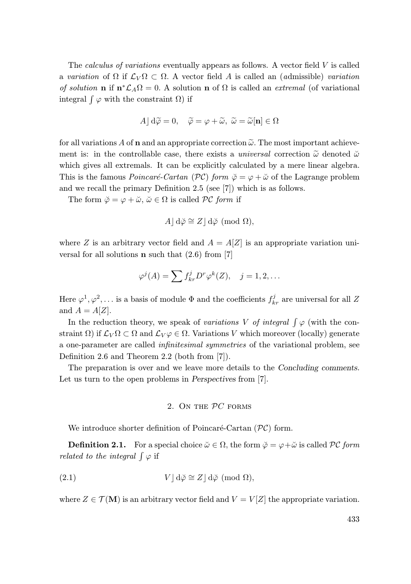The *calculus of variations* eventually appears as follows. A vector field  $V$  is called a variation of  $\Omega$  if  $\mathcal{L}_V \Omega \subset \Omega$ . A vector field A is called an (admissible) variation of solution **n** if  $\mathbf{n}^*\mathcal{L}_A\Omega = 0$ . A solution **n** of  $\Omega$  is called an *extremal* (of variational integral  $\int \varphi$  with the constraint  $\Omega$ ) if

$$
A \,|\, \mathrm{d}\widetilde{\varphi} = 0, \quad \widetilde{\varphi} = \varphi + \widetilde{\omega}, \ \widetilde{\omega} = \widetilde{\omega}[\mathbf{n}] \in \Omega
$$

for all variations A of **n** and an appropriate correction  $\tilde{\omega}$ . The most important achievement is: in the controllable case, there exists a *universal* correction  $\tilde{\omega}$  denoted  $\tilde{\omega}$ which gives all extremals. It can be explicitly calculated by a mere linear algebra. This is the famous *Poincaré-Cartan* (PC) form  $\breve{\varphi} = \varphi + \breve{\omega}$  of the Lagrange problem and we recall the primary Definition 2.5 (see [7]) which is as follows.

The form  $\ddot{\varphi} = \varphi + \ddot{\omega}, \ddot{\omega} \in \Omega$  is called PC form if

$$
A \, | \, d\breve{\varphi} \cong Z \, | \, d\breve{\varphi} \pmod{\Omega},
$$

where Z is an arbitrary vector field and  $A = A[Z]$  is an appropriate variation universal for all solutions **n** such that  $(2.6)$  from [7]

$$
\varphi^j(A) = \sum f_{kr}^j D^r \varphi^k(Z), \quad j = 1, 2, \dots
$$

Here  $\varphi^1, \varphi^2, \ldots$  is a basis of module  $\Phi$  and the coefficients  $f_{kr}^j$  are universal for all Z and  $A = A[Z]$ .

In the reduction theory, we speak of variations V of integral  $\int \varphi$  (with the constraint  $\Omega$ ) if  $\mathcal{L}_V \Omega \subset \Omega$  and  $\mathcal{L}_V \varphi \in \Omega$ . Variations V which moreover (locally) generate a one-parameter are called infinitesimal symmetries of the variational problem, see Definition 2.6 and Theorem 2.2 (both from [7]).

The preparation is over and we leave more details to the Concluding comments. Let us turn to the open problems in *Perspectives* from [7].

#### 2. On the PC forms

We introduce shorter definition of Poincaré-Cartan  $(\mathcal{PC})$  form.

**Definition 2.1.** For a special choice  $\check{\omega} \in \Omega$ , the form  $\check{\varphi} = \varphi + \check{\omega}$  is called PC form related to the integral  $\int \varphi$  if

(2.1) 
$$
V \,|\, d\breve{\varphi} \cong Z \,|\, d\breve{\varphi} \pmod{\Omega},
$$

where  $Z \in \mathcal{T}(\mathbf{M})$  is an arbitrary vector field and  $V = V[Z]$  the appropriate variation.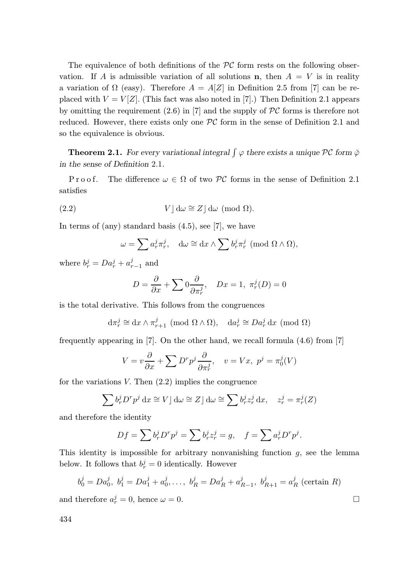The equivalence of both definitions of the  $\mathcal{PC}$  form rests on the following observation. If A is admissible variation of all solutions **n**, then  $A = V$  is in reality a variation of  $\Omega$  (easy). Therefore  $A = A[Z]$  in Definition 2.5 from [7] can be replaced with  $V = V[Z]$ . (This fact was also noted in [7].) Then Definition 2.1 appears by omitting the requirement  $(2.6)$  in [7] and the supply of PC forms is therefore not reduced. However, there exists only one  $PC$  form in the sense of Definition 2.1 and so the equivalence is obvious.

**Theorem 2.1.** For every variational integral  $\int \varphi$  there exists a unique PC form  $\breve{\varphi}$ in the sense of Definition 2.1.

P r o o f. The difference  $\omega \in \Omega$  of two PC forms in the sense of Definition 2.1 satisfies

(2.2) 
$$
V \rfloor d\omega \cong Z \rfloor d\omega \pmod{\Omega}.
$$

In terms of (any) standard basis  $(4.5)$ , see [7], we have

$$
\omega = \sum a_r^j \pi_r^j, \quad d\omega \cong dx \wedge \sum b_r^j \pi_r^j \pmod{\Omega \wedge \Omega},
$$

where  $b_r^j = Da_r^j + a_{r-1}^j$  and

$$
D = \frac{\partial}{\partial x} + \sum 0 \frac{\partial}{\partial \pi_r^j}, \quad Dx = 1, \ \pi_r^j(D) = 0
$$

is the total derivative. This follows from the congruences

$$
d\pi_r^j \cong dx \wedge \pi_{r+1}^j \pmod{\Omega \wedge \Omega}, \quad da_r^j \cong Da_r^j dx \pmod{\Omega}
$$

frequently appearing in [7]. On the other hand, we recall formula  $(4.6)$  from [7]

$$
V = v\frac{\partial}{\partial x} + \sum D^r p^j \frac{\partial}{\partial \pi_r^j}, \quad v = Vx, \ p^j = \pi_0^j(V)
$$

for the variations  $V$ . Then  $(2.2)$  implies the congruence

$$
\sum b_r^j D^r p^j \, dx \cong V \, \vert \, d\omega \cong Z \, \vert \, d\omega \cong \sum b_r^j z_r^j \, dx, \quad z_r^j = \pi_r^j(Z)
$$

and therefore the identity

$$
Df = \sum b_r^j D^r p^j = \sum b_r^j z_r^j = g, \quad f = \sum a_r^j D^r p^j.
$$

This identity is impossible for arbitrary nonvanishing function  $g$ , see the lemma below. It follows that  $b_r^j = 0$  identically. However

$$
b_0^j = Da_0^j
$$
,  $b_1^j = Da_1^j + a_0^j$ ,...,  $b_R^j = Da_R^j + a_{R-1}^j$ ,  $b_{R+1}^j = a_R^j$  (certain R)

and therefore  $a_r^j = 0$ , hence  $\omega = 0$ .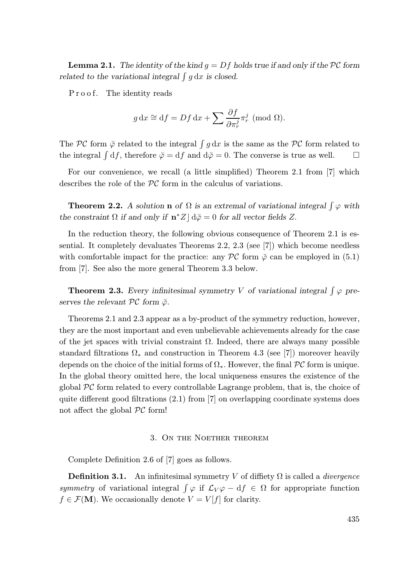**Lemma 2.1.** The identity of the kind  $q = Df$  holds true if and only if the PC form related to the variational integral  $\int g dx$  is closed.

Proof. The identity reads

$$
g dx \approx df = Df dx + \sum \frac{\partial f}{\partial \pi_r^j} \pi_r^j \pmod{\Omega}.
$$

The PC form  $\breve{\varphi}$  related to the integral  $\int g dx$  is the same as the PC form related to the integral  $\int df$ , therefore  $\breve{\varphi} = df$  and  $d\breve{\varphi} = 0$ . The converse is true as well.  $\Box$ 

For our convenience, we recall (a little simplified) Theorem 2.1 from [7] which describes the role of the PC form in the calculus of variations.

**Theorem 2.2.** A solution **n** of  $\Omega$  is an extremal of variational integral  $\int \varphi$  with the constraint  $\Omega$  if and only if  $\mathbf{n}^* Z \, | \, d\phi = 0$  for all vector fields Z.

In the reduction theory, the following obvious consequence of Theorem 2.1 is essential. It completely devaluates Theorems 2.2, 2.3 (see [7]) which become needless with comfortable impact for the practice: any  $\mathcal{PC}$  form  $\check{\varphi}$  can be employed in (5.1) from [7]. See also the more general Theorem 3.3 below.

**Theorem 2.3.** Every infinitesimal symmetry V of variational integral  $\int \varphi$  preserves the relevant  $\mathcal{PC}$  form  $\breve{\varphi}$ .

Theorems 2.1 and 2.3 appear as a by-product of the symmetry reduction, however, they are the most important and even unbelievable achievements already for the case of the jet spaces with trivial constraint  $\Omega$ . Indeed, there are always many possible standard filtrations  $\Omega_*$  and construction in Theorem 4.3 (see [7]) moreover heavily depends on the choice of the initial forms of  $\Omega_*$ . However, the final  $\mathcal{PC}$  form is unique. In the global theory omitted here, the local uniqueness ensures the existence of the global  $PC$  form related to every controllable Lagrange problem, that is, the choice of quite different good filtrations  $(2.1)$  from [7] on overlapping coordinate systems does not affect the global  $\mathcal{PC}$  form!

#### 3. On the Noether theorem

Complete Definition 2.6 of [7] goes as follows.

**Definition 3.1.** An infinitesimal symmetry V of diffiety  $\Omega$  is called a *divergence* symmetry of variational integral  $\int \varphi$  if  $\mathcal{L}_V \varphi - df \in \Omega$  for appropriate function  $f \in \mathcal{F}(\mathbf{M})$ . We occasionally denote  $V = V[f]$  for clarity.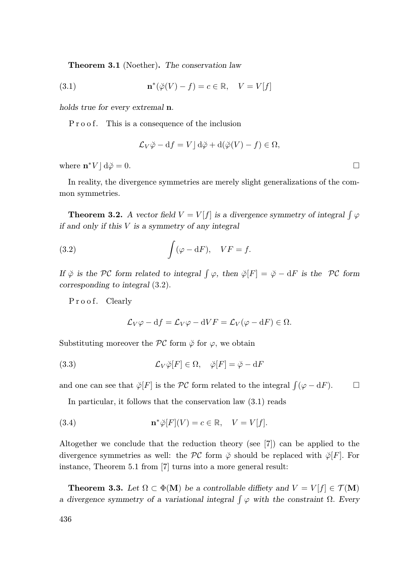Theorem 3.1 (Noether). The conservation law

(3.1) 
$$
\mathbf{n}^*(\breve{\varphi}(V) - f) = c \in \mathbb{R}, \quad V = V[f]
$$

holds true for every extremal n.

P r o o f. This is a consequence of the inclusion

$$
\mathcal{L}_V \breve{\varphi} - df = V \, d\breve{\varphi} + d(\breve{\varphi}(V) - f) \in \Omega,
$$

where  $\mathbf{n}^*V \rfloor d\breve{\varphi} = 0.$ 

In reality, the divergence symmetries are merely slight generalizations of the common symmetries.

**Theorem 3.2.** A vector field  $V = V[f]$  is a divergence symmetry of integral  $\int \varphi$ if and only if this V is a symmetry of any integral

(3.2) 
$$
\int (\varphi - dF), \quad VF = f.
$$

If  $\breve{\varphi}$  is the PC form related to integral  $\int \varphi$ , then  $\breve{\varphi}[F] = \breve{\varphi} - dF$  is the PC form corresponding to integral (3.2).

Proof. Clearly

$$
\mathcal{L}_V \varphi - df = \mathcal{L}_V \varphi - dV F = \mathcal{L}_V (\varphi - dF) \in \Omega.
$$

Substituting moreover the  $\mathcal{PC}$  form  $\breve{\varphi}$  for  $\varphi$ , we obtain

(3.3) 
$$
\mathcal{L}_V \breve{\varphi}[F] \in \Omega, \quad \breve{\varphi}[F] = \breve{\varphi} - \mathrm{d}F
$$

and one can see that  $\breve{\varphi}[F]$  is the PC form related to the integral  $\int (\varphi - dF)$ .  $\Box$ 

In particular, it follows that the conservation law (3.1) reads

(3.4) 
$$
\mathbf{n}^* \breve{\varphi}[F](V) = c \in \mathbb{R}, \quad V = V[f].
$$

Altogether we conclude that the reduction theory (see [7]) can be applied to the divergence symmetries as well: the  $\mathcal{PC}$  form  $\check{\varphi}$  should be replaced with  $\check{\varphi}[F]$ . For instance, Theorem 5.1 from [7] turns into a more general result:

**Theorem 3.3.** Let  $\Omega \subset \Phi(M)$  be a controllable difficty and  $V = V[f] \in \mathcal{T}(M)$ a divergence symmetry of a variational integral  $\int \varphi$  with the constraint  $\Omega$ . Every

436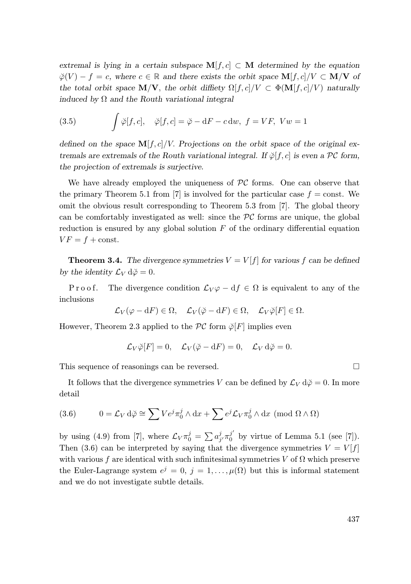extremal is lying in a certain subspace  $M[f, c] \subset M$  determined by the equation  $\breve{\varphi}(V) - f = c$ , where  $c \in \mathbb{R}$  and there exists the orbit space  $\mathbf{M}[f, c]/V \subset \mathbf{M}/\mathbf{V}$  of the total orbit space  $\mathbf{M}/\mathbf{V}$ , the orbit diffiety  $\Omega[f, c]/V \subset \Phi(\mathbf{M}[f, c]/V)$  naturally induced by  $\Omega$  and the Routh variational integral

(3.5) 
$$
\int \breve{\varphi}[f,c], \quad \breve{\varphi}[f,c] = \breve{\varphi} - dF - c dw, \ f = VF, \ Vw = 1
$$

defined on the space  $\mathbf{M}[f, c]/V$ . Projections on the orbit space of the original extremals are extremals of the Routh variational integral. If  $\phi[f,c]$  is even a PC form, the projection of extremals is surjective.

We have already employed the uniqueness of  $PC$  forms. One can observe that the primary Theorem 5.1 from [7] is involved for the particular case  $f = \text{const.}$  We omit the obvious result corresponding to Theorem 5.3 from [7]. The global theory can be comfortably investigated as well: since the  $\mathcal{PC}$  forms are unique, the global reduction is ensured by any global solution  $F$  of the ordinary differential equation  $VF = f + \text{const.}$ 

**Theorem 3.4.** The divergence symmetries  $V = V[f]$  for various f can be defined by the identity  $\mathcal{L}_V d\breve{\varphi} = 0$ .

P r o o f. The divergence condition  $\mathcal{L}_V \varphi - df \in \Omega$  is equivalent to any of the inclusions

$$
\mathcal{L}_V(\varphi - dF) \in \Omega, \quad \mathcal{L}_V(\breve{\varphi} - dF) \in \Omega, \quad \mathcal{L}_V \breve{\varphi}[F] \in \Omega.
$$

However, Theorem 2.3 applied to the  $\mathcal{PC}$  form  $\breve{\varphi}[F]$  implies even

$$
\mathcal{L}_V \breve{\varphi}[F] = 0, \quad \mathcal{L}_V(\breve{\varphi} - dF) = 0, \quad \mathcal{L}_V d\breve{\varphi} = 0.
$$

This sequence of reasonings can be reversed.

It follows that the divergence symmetries V can be defined by  $\mathcal{L}_V d\phi = 0$ . In more detail

(3.6) 
$$
0 = \mathcal{L}_V d\breve{\varphi} \cong \sum V e^j \pi_0^j \wedge dx + \sum e^j \mathcal{L}_V \pi_0^j \wedge dx \pmod{\Omega \wedge \Omega}
$$

by using (4.9) from [7], where  $\mathcal{L}_V \pi_0^j = \sum a_{j'}^j \pi_0^{j'}$  by virtue of Lemma 5.1 (see [7]). Then (3.6) can be interpreted by saying that the divergence symmetries  $V = V[f]$ with various f are identical with such infinitesimal symmetries V of  $\Omega$  which preserve the Euler-Lagrange system  $e^j = 0, j = 1, \ldots, \mu(\Omega)$  but this is informal statement and we do not investigate subtle details.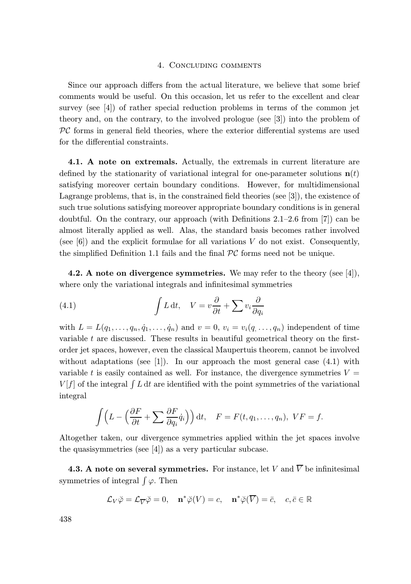### 4. Concluding comments

Since our approach differs from the actual literature, we believe that some brief comments would be useful. On this occasion, let us refer to the excellent and clear survey (see [4]) of rather special reduction problems in terms of the common jet theory and, on the contrary, to the involved prologue (see [3]) into the problem of  $\mathcal{PC}$  forms in general field theories, where the exterior differential systems are used for the differential constraints.

4.1. A note on extremals. Actually, the extremals in current literature are defined by the stationarity of variational integral for one-parameter solutions  $\mathbf{n}(t)$ satisfying moreover certain boundary conditions. However, for multidimensional Lagrange problems, that is, in the constrained field theories (see [3]), the existence of such true solutions satisfying moreover appropriate boundary conditions is in general doubtful. On the contrary, our approach (with Definitions 2.1–2.6 from [7]) can be almost literally applied as well. Alas, the standard basis becomes rather involved (see  $[6]$ ) and the explicit formulae for all variations V do not exist. Consequently, the simplified Definition 1.1 fails and the final  $\mathcal{PC}$  forms need not be unique.

4.2. A note on divergence symmetries. We may refer to the theory (see [4]), where only the variational integrals and infinitesimal symmetries

(4.1) 
$$
\int L dt, \quad V = v \frac{\partial}{\partial t} + \sum v_i \frac{\partial}{\partial q_i}
$$

with  $L = L(q_1, \ldots, q_n, \dot{q}_1, \ldots, \dot{q}_n)$  and  $v = 0, v_i = v_i(q, \ldots, q_n)$  independent of time variable t are discussed. These results in beautiful geometrical theory on the firstorder jet spaces, however, even the classical Maupertuis theorem, cannot be involved without adaptations (see [1]). In our approach the most general case  $(4.1)$  with variable t is easily contained as well. For instance, the divergence symmetries  $V =$  $V[f]$  of the integral  $\int L dt$  are identified with the point symmetries of the variational integral

$$
\int \left( L - \left( \frac{\partial F}{\partial t} + \sum \frac{\partial F}{\partial q_i} \dot{q}_i \right) \right) dt, \quad F = F(t, q_1, \dots, q_n), \; VF = f.
$$

Altogether taken, our divergence symmetries applied within the jet spaces involve the quasisymmetries (see [4]) as a very particular subcase.

**4.3. A note on several symmetries.** For instance, let V and  $\overline{V}$  be infinitesimal symmetries of integral  $\int \varphi$ . Then

$$
\mathcal{L}_V \breve{\varphi} = \mathcal{L}_{\overline{V}} \breve{\varphi} = 0, \quad \mathbf{n}^* \breve{\varphi}(V) = c, \quad \mathbf{n}^* \breve{\varphi}(\overline{V}) = \overline{c}, \quad c, \overline{c} \in \mathbb{R}
$$